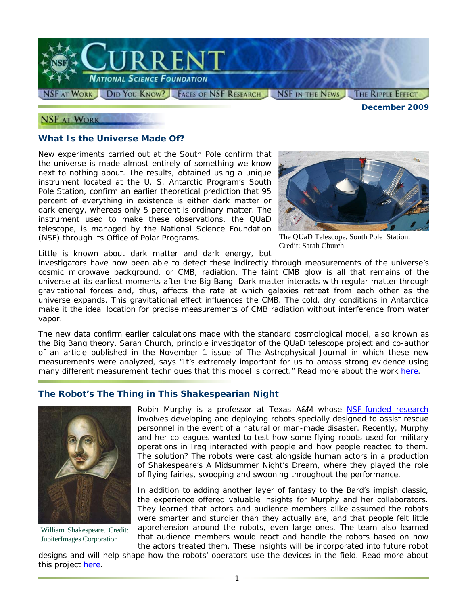

#### **NSF AT WORK**

*December 2009* 

### **What Is the Universe Made Of?**

New experiments carried out at the South Pole confirm that the universe is made almost entirely of something we know next to nothing about. The results, obtained using a unique instrument located at the U. S. Antarctic Program's South Pole Station, confirm an earlier theoretical prediction that 95 percent of everything in existence is either dark matter or dark energy, whereas only 5 percent is ordinary matter. The instrument used to make these observations, the QUaD telescope, is managed by the National Science Foundation (NSF) through its Office of Polar Programs.



The QUaD Telescope, South Pole Station. Credit: Sarah Church

Little is known about dark matter and dark energy, but

investigators have now been able to detect these indirectly through measurements of the universe's cosmic microwave background, or CMB, radiation. The faint CMB glow is all that remains of the universe at its earliest moments after the Big Bang. Dark matter interacts with regular matter through gravitational forces and, thus, affects the rate at which galaxies retreat from each other as the universe expands. This gravitational effect influences the CMB. The cold, dry conditions in Antarctica make it the ideal location for precise measurements of CMB radiation without interference from water vapor.

The new data confirm earlier calculations made with the standard cosmological model, also known as the Big Bang theory. Sarah Church, principle investigator of the QUaD telescope project and co-author of an article published in the November 1 issue of *The Astrophysical Journal* in which these new measurements were analyzed, says "It's extremely important for us to amass strong evidence using many different measurement techniques that this model is correct." Read more about the work [here.](http://antarcticsun.usap.gov/science/contenthandler.cfm?id=1943)

## **The Robot's The Thing in This Shakespearian Night**



William Shakespeare. Credit: JupiterImages Corporation

Robin Murphy is a professor at Texas A&M whose [NSF-funded research](http://www.nsf.gov/awardsearch/showAward.do?AwardNumber=0905485) involves developing and deploying robots specially designed to assist rescue personnel in the event of a natural or man-made disaster. Recently, Murphy and her colleagues wanted to test how some flying robots used for military operations in Iraq interacted with people and how people reacted to them. The solution? The robots were cast alongside human actors in a production of Shakespeare's *A Midsummer Night's Dream,* where they played the role of flying fairies, swooping and swooning throughout the performance.

In addition to adding another layer of fantasy to the Bard's impish classic, the experience offered valuable insights for Murphy and her collaborators. They learned that actors and audience members alike assumed the robots were smarter and sturdier than they actually are, and that people felt little apprehension around the robots, even large ones. The team also learned that audience members would react and handle the robots based on how the actors treated them. These insights will be incorporated into future robot

designs and will help shape how the robots' operators use the devices in the field. Read more about this project [here.](http://www.nsf.gov/cgi-bin/goodbye?http://www.cs.tamu.edu/news/items?id=2351)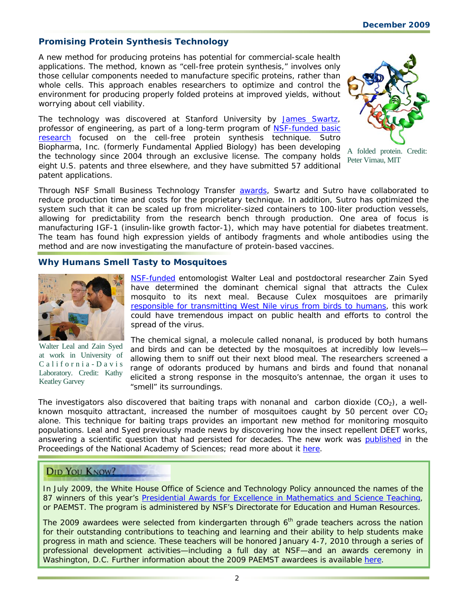# **Promising Protein Synthesis Technology**

A new method for producing proteins has potential for commercial-scale health applications. The method, known as "cell-free protein synthesis," involves only those cellular components needed to manufacture specific proteins, rather than whole cells. This approach enables researchers to optimize and control the environment for producing properly folded proteins at improved yields, without worrying about cell viability.

The technology was discovered at Stanford University by [James Swartz,](http://www.nsf.gov/cgi-bin/goodbye?http://www.stanford.edu/group/swartzlab/index.htm) professor of engineering, as part of a long-term program of [NSF-funded basic](http://www.nsf.gov/awardsearch/showAward.do?AwardNumber=0132535)  [research](http://www.nsf.gov/awardsearch/showAward.do?AwardNumber=0132535) focused on the cell-free protein synthesis technique. Sutro Biopharma, Inc. (formerly Fundamental Applied Biology) has been developing the technology since 2004 through an exclusive license. The company holds eight U.S. patents and three elsewhere, and they have submitted 57 additional patent applications.



A folded protein. Credit: Peter Virnau, MIT

Through NSF Small Business Technology Transfer [awards,](http://www.nsf.gov/awardsearch/showAward.do?AwardNumber=0522337) Swartz and Sutro have collaborated to reduce production time and costs for the proprietary technique. In addition, Sutro has optimized the system such that it can be scaled up from microliter-sized containers to 100-liter production vessels, allowing for predictability from the research bench through production. One area of focus is manufacturing IGF-1 (insulin-like growth factor-1), which may have potential for diabetes treatment. The team has found high expression yields of antibody fragments and whole antibodies using the method and are now investigating the manufacture of protein-based vaccines.

### **Why Humans Smell Tasty to Mosquitoes**



Walter Leal and Zain Syed at work in University of California - Davis Laboratory. Credit: Kathy Keatley Garvey

[NSF-funded](http://www.nsf.gov/awardsearch/showAward.do?AwardNumber=0918177) entomologist Walter Leal and postdoctoral researcher Zain Syed have determined the dominant chemical signal that attracts the *Culex* mosquito to its next meal. Because *Culex* mosquitoes are primarily [responsible for transmitting West Nile virus from birds to humans,](http://www.nsf.gov/discoveries/disc_summ.jsp?cntn_id=115413&org=NSF) this work could have tremendous impact on public health and efforts to control the spread of the virus.

The chemical signal, a molecule called nonanal, is produced by both humans and birds and can be detected by the mosquitoes at incredibly low levels allowing them to sniff out their next blood meal. The researchers screened a range of odorants produced by humans and birds and found that nonanal elicited a strong response in the mosquito's antennae, the organ it uses to "smell" its surroundings.

The investigators also discovered that baiting traps with nonanal and carbon dioxide  $(CO<sub>2</sub>)$ , a wellknown mosquito attractant, increased the number of mosquitoes caught by 50 percent over  $CO<sub>2</sub>$ alone. This technique for baiting traps provides an important new method for monitoring mosquito populations. Leal and Syed previously made news by discovering how the insect repellent DEET works, answering a scientific question that had persisted for decades. The new work was [published](http://www.nsf.gov/cgi-bin/goodbye?http://entomology.ucdavis.edu/news/PNAS09-06932.pdf) in the *Proceedings of the National Academy of Sciences*; read more about it [here.](http://www.nsf.gov/cgi-bin/goodbye?http://entomology.ucdavis.edu/news/nonanalresearch.html)

## **DID YOU KNOW?**

In July 2009, the White House Office of Science and Technology Policy announced the names of the 87 winners of this year's [Presidential Awards for Excellence in Mathematics and Science Teaching,](http://www.nsf.gov/cgi-bin/goodbye?http://www.paemst.org/controllers/home.cfc?method=view) or PAEMST. The program is administered by NSF's Directorate for Education and Human Resources.

The 2009 awardees were selected from kindergarten through  $6<sup>th</sup>$  grade teachers across the nation for their outstanding contributions to teaching and learning and their ability to help students make progress in math and science. These teachers will be honored January 4-7, 2010 through a series of professional development activities—including a full day at NSF—and an awards ceremony in Washington, D.C. Further information about the 2009 PAEMST awardees is available [here.](http://www.nsf.gov/cgi-bin/goodbye?http://recognition.paemst.org/)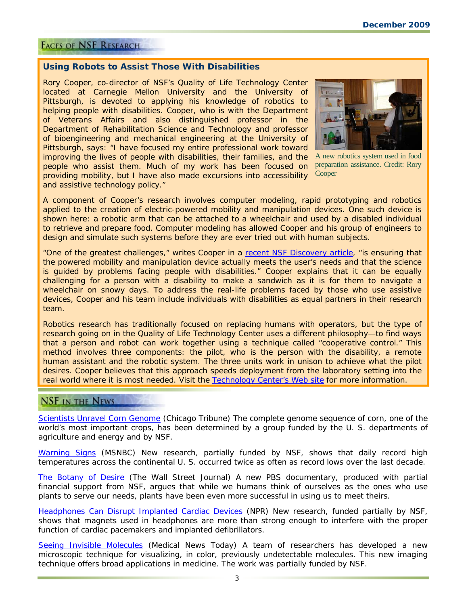#### **FACES OF NSF RESEARCH**

#### **Using Robots to Assist Those With Disabilities**

Rory Cooper, co-director of NSF's Quality of Life Technology Center located at Carnegie Mellon University and the University of Pittsburgh, is devoted to applying his knowledge of robotics to helping people with disabilities. Cooper, who is with the Department of Veterans Affairs and also distinguished professor in the Department of Rehabilitation Science and Technology and professor of bioengineering and mechanical engineering at the University of Pittsburgh, says: "I have focused my entire professional work toward improving the lives of people with disabilities, their families, and the people who assist them. Much of my work has been focused on providing mobility, but I have also made excursions into accessibility and assistive technology policy."



A new robotics system used in food preparation assistance. Credit: Rory **Cooper** 

A component of Cooper's research involves computer modeling, rapid prototyping and robotics applied to the creation of electric-powered mobility and manipulation devices. One such device is shown here: a robotic arm that can be attached to a wheelchair and used by a disabled individual to retrieve and prepare food. Computer modeling has allowed Cooper and his group of engineers to design and simulate such systems before they are ever tried out with human subjects.

"One of the greatest challenges," writes Cooper in a [recent NSF Discovery article,](http://www.nsf.gov/discoveries/disc_summ.jsp?org=NSF&cntn_id=115433&preview=false) "is ensuring that the powered mobility and manipulation device actually meets the user's needs and that the science is guided by problems facing people with disabilities." Cooper explains that it can be equally challenging for a person with a disability to make a sandwich as it is for them to navigate a wheelchair on snowy days. To address the real-life problems faced by those who use assistive devices, Cooper and his team include individuals with disabilities as equal partners in their research team.

Robotics research has traditionally focused on replacing humans with operators, but the type of research going on in the Quality of Life Technology Center uses a different philosophy—to find ways that a person and robot can work together using a technique called "cooperative control." This method involves three components: the pilot, who is the person with the disability, a remote human assistant and the robotic system. The three units work in unison to achieve what the pilot desires. Cooper believes that this approach speeds deployment from the laboratory setting into the real world where it is most needed. Visit the [Technology Center's Web site](http://www.nsf.gov/cgi-bin/goodbye?http://www.cmu.edu/qolt/index.html) for more information.

# **NSF IN THE NEWS**

[Scientists Unravel Corn Genome](http://www.nsf.gov/cgi-bin/goodbye?http://www.chicagotribune.com/news/chi-ap-mo-corngenome,0,371420.story) (*Chicago Tribune*) The complete genome sequence of corn, one of the world's most important crops, has been determined by a group funded by the U. S. departments of agriculture and energy and by NSF.

[Warning Signs](http://www.nsf.gov/cgi-bin/goodbye?http://www.msnbc.msn.com/id/33887745/ns/us_news-environment/) (*MSNBC*) New research, partially funded by NSF, shows that daily record high temperatures across the continental U. S. occurred twice as often as record lows over the last decade.

[The Botany of Desire](http://www.nsf.gov/cgi-bin/goodbye?http://online.wsj.com/article/SB10001424052748704224004574489211493363266.html) (*The Wall Street Journal*) A new PBS documentary, produced with partial financial support from NSF, argues that while we humans think of ourselves as the ones who use plants to serve our needs, plants have been even more successful in using us to meet theirs.

[Headphones Can Disrupt Implanted Cardiac Devices](http://www.nsf.gov/cgi-bin/goodbye?http://www.npr.org/templates/story/story.php?storyId=114043643) (*NPR*) New research, funded partially by NSF, shows that magnets used in headphones are more than strong enough to interfere with the proper function of cardiac pacemakers and implanted defibrillators.

[Seeing Invisible Molecules](http://www.nsf.gov/cgi-bin/goodbye?http://www.medicalnewstoday.com/articles/168659.php) (*Medical News Today*) A team of researchers has developed a new microscopic technique for visualizing, in color, previously undetectable molecules. This new imaging technique offers broad applications in medicine. The work was partially funded by NSF.